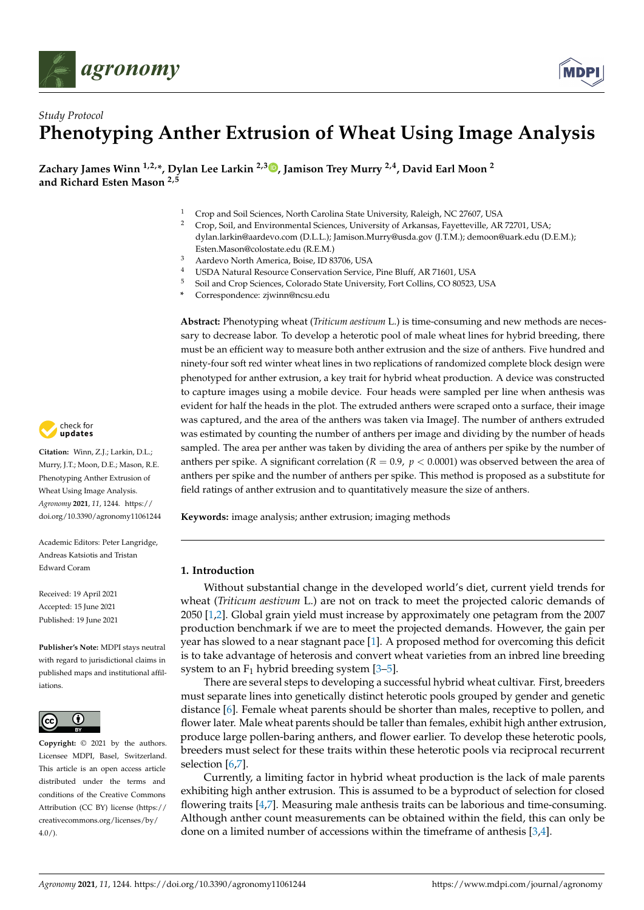



# *Study Protocol* **Phenotyping Anther Extrusion of Wheat Using Image Analysis**

**Zachary James Winn 1,2,\*, Dylan Lee Larkin 2,3 [,](https://orcid.org/0000-0002-4991-5637) Jamison Trey Murry 2,4, David Earl Moon <sup>2</sup> and Richard Esten Mason 2,5**

- <sup>1</sup> Crop and Soil Sciences, North Carolina State University, Raleigh, NC 27607, USA<br><sup>2</sup> Cray Soil and Environmental Sciences, University of Anhances, Essettarilla, AB
- <sup>2</sup> Crop, Soil, and Environmental Sciences, University of Arkansas, Fayetteville, AR 72701, USA; dylan.larkin@aardevo.com (D.L.L.); Jamison.Murry@usda.gov (J.T.M.); demoon@uark.edu (D.E.M.); Esten.Mason@colostate.edu (R.E.M.)
- <sup>3</sup> Aardevo North America, Boise, ID 83706, USA
- 4 USDA Natural Resource Conservation Service, Pine Bluff, AR 71601, USA<br>5 Seil and Case Sciences, Calculate State University Fast Calling CO 80522
- <sup>5</sup> Soil and Crop Sciences, Colorado State University, Fort Collins, CO 80523, USA
	- **\*** Correspondence: zjwinn@ncsu.edu

**Abstract:** Phenotyping wheat (*Triticum aestivum* L.) is time-consuming and new methods are necessary to decrease labor. To develop a heterotic pool of male wheat lines for hybrid breeding, there must be an efficient way to measure both anther extrusion and the size of anthers. Five hundred and ninety-four soft red winter wheat lines in two replications of randomized complete block design were phenotyped for anther extrusion, a key trait for hybrid wheat production. A device was constructed to capture images using a mobile device. Four heads were sampled per line when anthesis was evident for half the heads in the plot. The extruded anthers were scraped onto a surface, their image was captured, and the area of the anthers was taken via ImageJ. The number of anthers extruded was estimated by counting the number of anthers per image and dividing by the number of heads sampled. The area per anther was taken by dividing the area of anthers per spike by the number of anthers per spike. A significant correlation (*R* = 0.9, *p* < 0.0001) was observed between the area of anthers per spike and the number of anthers per spike. This method is proposed as a substitute for field ratings of anther extrusion and to quantitatively measure the size of anthers.

**Keywords:** image analysis; anther extrusion; imaging methods

## **1. Introduction**

Without substantial change in the developed world's diet, current yield trends for wheat (*Triticum aestivum* L.) are not on track to meet the projected caloric demands of 2050 [\[1,](#page-6-0)[2\]](#page-6-1). Global grain yield must increase by approximately one petagram from the 2007 production benchmark if we are to meet the projected demands. However, the gain per year has slowed to a near stagnant pace [\[1\]](#page-6-0). A proposed method for overcoming this deficit is to take advantage of heterosis and convert wheat varieties from an inbred line breeding system to an  $F_1$  hybrid breeding system [\[3–](#page-6-2)[5\]](#page-6-3).

There are several steps to developing a successful hybrid wheat cultivar. First, breeders must separate lines into genetically distinct heterotic pools grouped by gender and genetic distance [\[6\]](#page-6-4). Female wheat parents should be shorter than males, receptive to pollen, and flower later. Male wheat parents should be taller than females, exhibit high anther extrusion, produce large pollen-baring anthers, and flower earlier. To develop these heterotic pools, breeders must select for these traits within these heterotic pools via reciprocal recurrent selection [\[6,](#page-6-4)[7\]](#page-6-5).

Currently, a limiting factor in hybrid wheat production is the lack of male parents exhibiting high anther extrusion. This is assumed to be a byproduct of selection for closed flowering traits [\[4,](#page-6-6)[7\]](#page-6-5). Measuring male anthesis traits can be laborious and time-consuming. Although anther count measurements can be obtained within the field, this can only be done on a limited number of accessions within the timeframe of anthesis [\[3](#page-6-2)[,4\]](#page-6-6).



**Citation:** Winn, Z.J.; Larkin, D.L.; Murry, J.T.; Moon, D.E.; Mason, R.E. Phenotyping Anther Extrusion of Wheat Using Image Analysis. *Agronomy* **2021**, *11*, 1244. [https://](https://doi.org/10.3390/agronomy11061244) [doi.org/10.3390/agronomy11061244](https://doi.org/10.3390/agronomy11061244)

Academic Editors: Peter Langridge, Andreas Katsiotis and Tristan Edward Coram

Received: 19 April 2021 Accepted: 15 June 2021 Published: 19 June 2021

**Publisher's Note:** MDPI stays neutral with regard to jurisdictional claims in published maps and institutional affiliations.



**Copyright:** © 2021 by the authors. Licensee MDPI, Basel, Switzerland. This article is an open access article distributed under the terms and conditions of the Creative Commons Attribution (CC BY) license (https:/[/](https://creativecommons.org/licenses/by/4.0/) [creativecommons.org/licenses/by/](https://creativecommons.org/licenses/by/4.0/)  $4.0/$ ).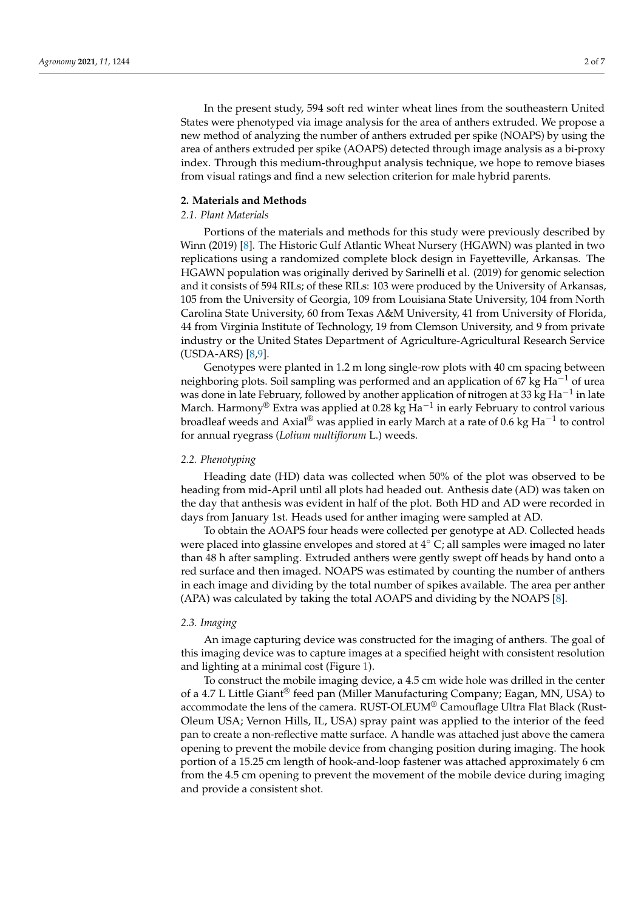In the present study, 594 soft red winter wheat lines from the southeastern United States were phenotyped via image analysis for the area of anthers extruded. We propose a new method of analyzing the number of anthers extruded per spike (NOAPS) by using the area of anthers extruded per spike (AOAPS) detected through image analysis as a bi-proxy index. Through this medium-throughput analysis technique, we hope to remove biases from visual ratings and find a new selection criterion for male hybrid parents.

## **2. Materials and Methods**

## *2.1. Plant Materials*

Portions of the materials and methods for this study were previously described by Winn (2019) [\[8\]](#page-6-7). The Historic Gulf Atlantic Wheat Nursery (HGAWN) was planted in two replications using a randomized complete block design in Fayetteville, Arkansas. The HGAWN population was originally derived by Sarinelli et al. (2019) for genomic selection and it consists of 594 RILs; of these RILs: 103 were produced by the University of Arkansas, 105 from the University of Georgia, 109 from Louisiana State University, 104 from North Carolina State University, 60 from Texas A&M University, 41 from University of Florida, 44 from Virginia Institute of Technology, 19 from Clemson University, and 9 from private industry or the United States Department of Agriculture-Agricultural Research Service (USDA-ARS) [\[8](#page-6-7)[,9\]](#page-6-8).

Genotypes were planted in 1.2 m long single-row plots with 40 cm spacing between neighboring plots. Soil sampling was performed and an application of 67 kg Ha<sup>-1</sup> of urea was done in late February, followed by another application of nitrogen at 33 kg Ha<sup>-1</sup> in late March. Harmony® Extra was applied at 0.28 kg  ${\rm Ha^{-1}}$  in early February to control various broadleaf weeds and Axial® was applied in early March at a rate of 0.6 kg  $\text{Ha}^{-1}$  to control for annual ryegrass (*Lolium multiflorum* L.) weeds.

#### *2.2. Phenotyping*

Heading date (HD) data was collected when 50% of the plot was observed to be heading from mid-April until all plots had headed out. Anthesis date (AD) was taken on the day that anthesis was evident in half of the plot. Both HD and AD were recorded in days from January 1st. Heads used for anther imaging were sampled at AD.

To obtain the AOAPS four heads were collected per genotype at AD. Collected heads were placed into glassine envelopes and stored at  $4°$  C; all samples were imaged no later than 48 h after sampling. Extruded anthers were gently swept off heads by hand onto a red surface and then imaged. NOAPS was estimated by counting the number of anthers in each image and dividing by the total number of spikes available. The area per anther (APA) was calculated by taking the total AOAPS and dividing by the NOAPS [\[8\]](#page-6-7).

#### *2.3. Imaging*

An image capturing device was constructed for the imaging of anthers. The goal of this imaging device was to capture images at a specified height with consistent resolution and lighting at a minimal cost (Figure [1\)](#page-2-0).

To construct the mobile imaging device, a 4.5 cm wide hole was drilled in the center of a 4.7 L Little Giant® feed pan (Miller Manufacturing Company; Eagan, MN, USA) to accommodate the lens of the camera. RUST-OLEUM® Camouflage Ultra Flat Black (Rust-Oleum USA; Vernon Hills, IL, USA) spray paint was applied to the interior of the feed pan to create a non-reflective matte surface. A handle was attached just above the camera opening to prevent the mobile device from changing position during imaging. The hook portion of a 15.25 cm length of hook-and-loop fastener was attached approximately 6 cm from the 4.5 cm opening to prevent the movement of the mobile device during imaging and provide a consistent shot.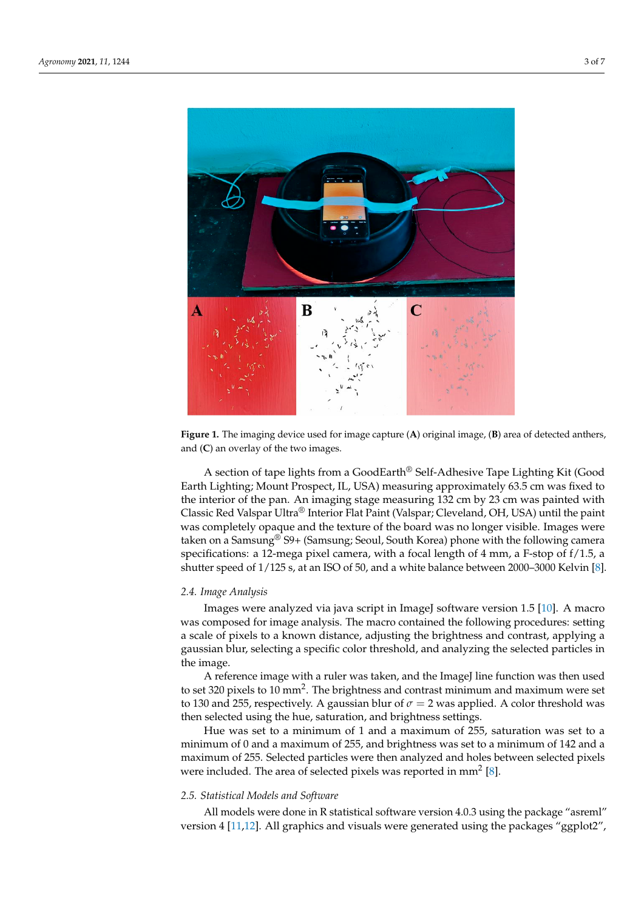<span id="page-2-0"></span>

Figure 1. The imaging device used for image capture (A) original image, (B) area of detected anthers, thers, and (C) an overlay of the two images. and (**C**) an overlay of the two images.

A section of tape lights from a GoodEarth® Self-Adhesive Tape Lighting Kit (Good Earth Lighting; Mount Prospect, IL, USA) measuring approximately 63.5 cm was fixed to the interior of the pan. An imaging stage measuring  $\frac{1}{12}$  cm by 23 cm was painted with Classic Red Valspar Ultra® Interior Flat Paint (Valspar; Cleveland, OH, USA) until the paint was completely opaque and the texture of the board was no longer visible. Images were taken on a Samsung® S9+ (Samsung; Seoul, South Korea) phone with the following camera specifications: a 12-mega pixel camera, with a focal length of 4 mm, a F-stop of f/1.5, a shutter speed of  $1/125$  s, at an ISO of 50, and a white balance between 2000–3000 Kelvin [\[8\]](#page-6-7). and provide a consistent shot.

## A section of tape lights from a GoodEarth® Self-Adhesive Tape Lighting Kit (Good *2.4. Image Analysis*

Images were analyzed via java script in ImageJ software version 1.5 [\[10\]](#page-6-9). A macro was composed for image analysis. The macro contained the following procedures: setting a scale of pixels to a known distance, adjusting the brightness and contrast, applying a gaussian blur, selecting a specific color threshold, and analyzing the selected particles in the image. The image S9+ (Samsung; Seoul, South Korea) phone with the following the following the following the following the following the following the following the following the following the following the following th

A reference image with a ruler was taken, and the ImageJ line function was then used to set 320 pixels to 10 mm<sup>2</sup>. The brightness and contrast minimum and maximum were set to 130 and 255, respectively. A gaussian blur of  $\sigma = 2$  was applied. A color threshold was then selected using the hue, saturation, and brightness settings.

Hue was set to a minimum of 1 and a maximum of 255, saturation was set to a minimum of 0 and a maximum of 255, and brightness was set to a minimum of 142 and a maximum of 255. Selected particles were then analyzed and holes between selected pixels were included. The area of selected pixels was reported in mm<sup>2</sup> [\[8\]](#page-6-7).

# $\epsilon$ , Statistical Models and Software 2.5. Statistical Models and Software<br>————————————————————

All models were done in R statistical software version 4.0.3 using the package "asreml" version 4 [\[11](#page-6-10)[,12\]](#page-6-11). All graphics and visuals were generated using the packages "ggplot2",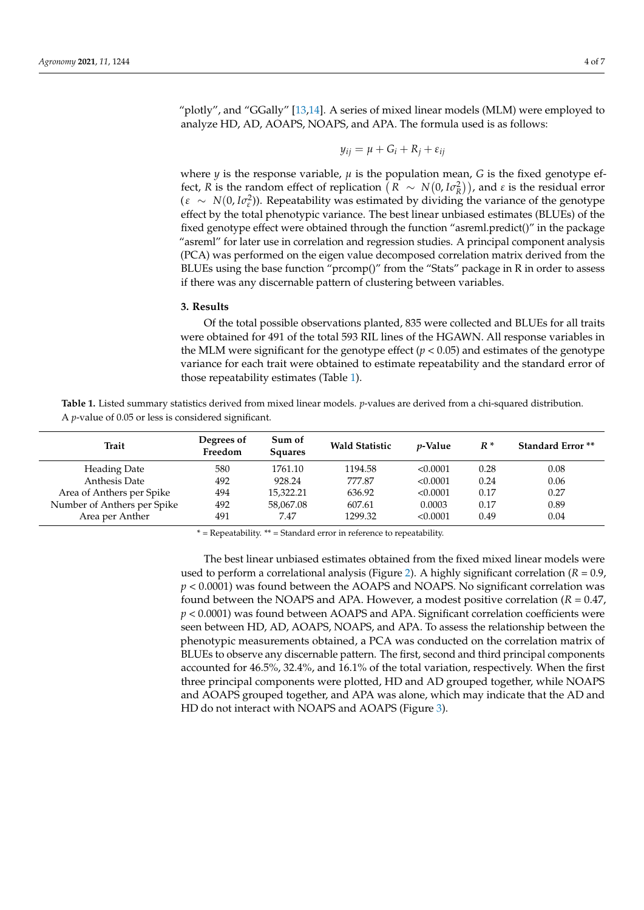"plotly", and "GGally" [\[13,](#page-6-12)[14\]](#page-6-13). A series of mixed linear models (MLM) were employed to analyze HD, AD, AOAPS, NOAPS, and APA. The formula used is as follows:

$$
y_{ij} = \mu + G_i + R_j + \varepsilon_{ij}
$$

where  $\psi$  is the response variable,  $\mu$  is the population mean, *G* is the fixed genotype effect, *R* is the random effect of replication  $(R \sim N(0, I\sigma_R^2))$ , and *ε* is the residual error  $(\varepsilon \sim N(0, I\sigma_{\varepsilon}^2))$ . Repeatability was estimated by dividing the variance of the genotype effect by the total phenotypic variance. The best linear unbiased estimates (BLUEs) of the fixed genotype effect were obtained through the function "asreml.predict()" in the package "asreml" for later use in correlation and regression studies. A principal component analysis (PCA) was performed on the eigen value decomposed correlation matrix derived from the BLUEs using the base function "prcomp()" from the "Stats" package in R in order to assess if there was any discernable pattern of clustering between variables.

# **3. Results**

Of the total possible observations planted, 835 were collected and BLUEs for all traits were obtained for 491 of the total 593 RIL lines of the HGAWN. All response variables in the MLM were significant for the genotype effect  $(p < 0.05)$  and estimates of the genotype variance for each trait were obtained to estimate repeatability and the standard error of those repeatability estimates (Table [1\)](#page-3-0).

<span id="page-3-0"></span>

| <b>Table 1.</b> Listed summary statistics derived from mixed linear models. <i>p</i> -values are derived from a chi-squared distribution. |  |  |
|-------------------------------------------------------------------------------------------------------------------------------------------|--|--|
| A <i>p</i> -value of 0.05 or less is considered significant.                                                                              |  |  |

| <b>Trait</b>                | Degrees of<br>Freedom | Sum of<br><b>Squares</b> | <b>Wald Statistic</b> | <i>v</i> -Value | $R^*$ | <b>Standard Error</b> ** |
|-----------------------------|-----------------------|--------------------------|-----------------------|-----------------|-------|--------------------------|
| <b>Heading Date</b>         | 580                   | 1761.10                  | 1194.58               | < 0.0001        | 0.28  | 0.08                     |
| Anthesis Date               | 492                   | 928.24                   | 777.87                | < 0.0001        | 0.24  | 0.06                     |
| Area of Anthers per Spike   | 494                   | 15,322.21                | 636.92                | < 0.0001        | 0.17  | 0.27                     |
| Number of Anthers per Spike | 492                   | 58,067.08                | 607.61                | 0.0003          | 0.17  | 0.89                     |
| Area per Anther             | 491                   | 7.47                     | 1299.32               | < 0.0001        | 0.49  | 0.04                     |

 $*$  = Repeatability.  $**$  = Standard error in reference to repeatability.

The best linear unbiased estimates obtained from the fixed mixed linear models were used to perform a correlational analysis (Figure [2\)](#page-4-0). A highly significant correlation ( $R = 0.9$ , *p* < 0.0001) was found between the AOAPS and NOAPS. No significant correlation was found between the NOAPS and APA. However, a modest positive correlation (*R* = 0.47, *p* < 0.0001) was found between AOAPS and APA. Significant correlation coefficients were seen between HD, AD, AOAPS, NOAPS, and APA. To assess the relationship between the phenotypic measurements obtained, a PCA was conducted on the correlation matrix of BLUEs to observe any discernable pattern. The first, second and third principal components accounted for 46.5%, 32.4%, and 16.1% of the total variation, respectively. When the first three principal components were plotted, HD and AD grouped together, while NOAPS and AOAPS grouped together, and APA was alone, which may indicate that the AD and HD do not interact with NOAPS and AOAPS (Figure [3\)](#page-4-1).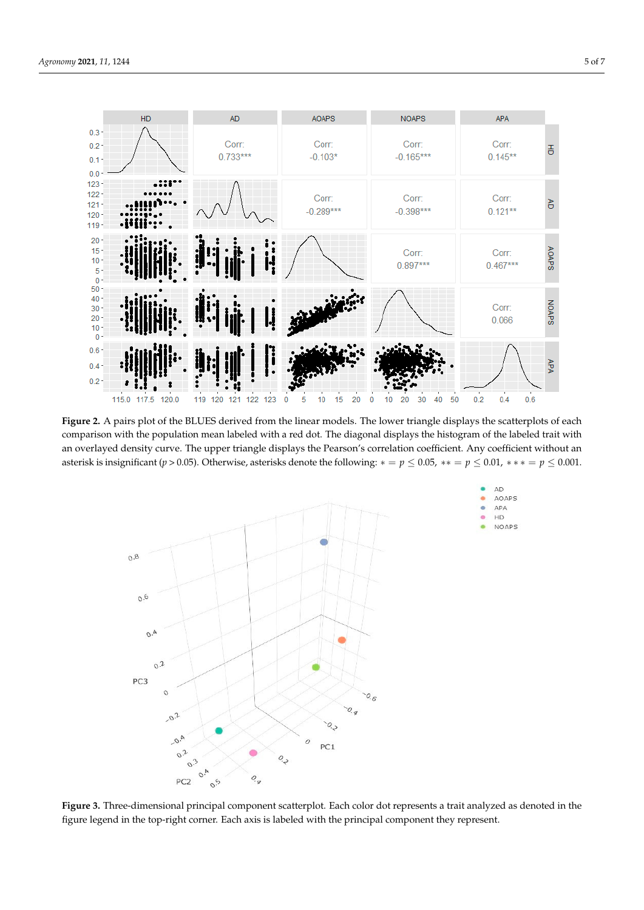<span id="page-4-0"></span>

while NOAPS and AOAPS grouped to grouped to grouped to grouped to grouped to grouped to grouped to group  $\mathcal{A}$ 

Figure 2. A pairs plot of the BLUES derived from the linear models. The lower triangle displays the scatterplots of each comparison with the population mean labeled with a red dot. The diagonal displays the histogram of the labeled trait with an overlayed density curve. The upper triangle displays the Pearson's correlation coefficient. Any coefficient without an an overlayed density curve. The upper triangle displays the Pearson's correlation coefficient. Any coefficient without an asterisk is insignificant ( $p > 0.05$ ). Otherwise, asterisks denote the following:  $* = p \le 0.05$ ,  $** = p \le 0.01$ ,  $*** = p \le 0.001$ . rigue 2. A pairs piot of the bLOES derived from the linear models. The lower triangle displays the scatt

<span id="page-4-1"></span>

**Figure 3.** Three-dimensional principal component scatterplot. Each color dot represents a trait analyzed as denoted in the figure legend in the top-right corner. Each axis is labeled with the principal component they represent.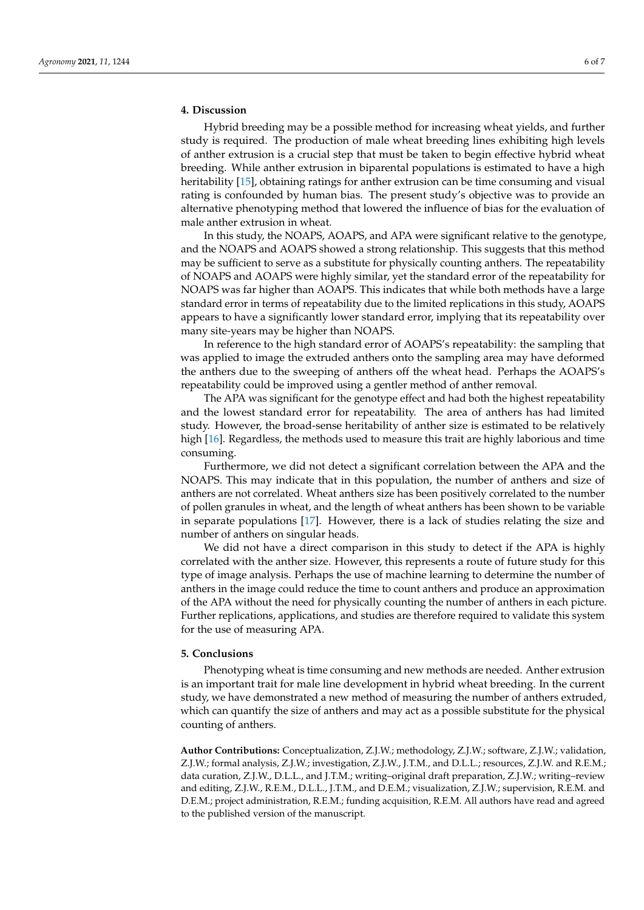# **4. Discussion**

Hybrid breeding may be a possible method for increasing wheat yields, and further study is required. The production of male wheat breeding lines exhibiting high levels of anther extrusion is a crucial step that must be taken to begin effective hybrid wheat breeding. While anther extrusion in biparental populations is estimated to have a high heritability [\[15\]](#page-6-14), obtaining ratings for anther extrusion can be time consuming and visual rating is confounded by human bias. The present study's objective was to provide an alternative phenotyping method that lowered the influence of bias for the evaluation of male anther extrusion in wheat.

In this study, the NOAPS, AOAPS, and APA were significant relative to the genotype, and the NOAPS and AOAPS showed a strong relationship. This suggests that this method may be sufficient to serve as a substitute for physically counting anthers. The repeatability of NOAPS and AOAPS were highly similar, yet the standard error of the repeatability for NOAPS was far higher than AOAPS. This indicates that while both methods have a large standard error in terms of repeatability due to the limited replications in this study, AOAPS appears to have a significantly lower standard error, implying that its repeatability over many site-years may be higher than NOAPS.

In reference to the high standard error of AOAPS's repeatability: the sampling that was applied to image the extruded anthers onto the sampling area may have deformed the anthers due to the sweeping of anthers off the wheat head. Perhaps the AOAPS's repeatability could be improved using a gentler method of anther removal.

The APA was significant for the genotype effect and had both the highest repeatability and the lowest standard error for repeatability. The area of anthers has had limited study. However, the broad-sense heritability of anther size is estimated to be relatively high [\[16\]](#page-6-15). Regardless, the methods used to measure this trait are highly laborious and time consuming.

Furthermore, we did not detect a significant correlation between the APA and the NOAPS. This may indicate that in this population, the number of anthers and size of anthers are not correlated. Wheat anthers size has been positively correlated to the number of pollen granules in wheat, and the length of wheat anthers has been shown to be variable in separate populations [\[17\]](#page-6-16). However, there is a lack of studies relating the size and number of anthers on singular heads.

We did not have a direct comparison in this study to detect if the APA is highly correlated with the anther size. However, this represents a route of future study for this type of image analysis. Perhaps the use of machine learning to determine the number of anthers in the image could reduce the time to count anthers and produce an approximation of the APA without the need for physically counting the number of anthers in each picture. Further replications, applications, and studies are therefore required to validate this system for the use of measuring APA.

## **5. Conclusions**

Phenotyping wheat is time consuming and new methods are needed. Anther extrusion is an important trait for male line development in hybrid wheat breeding. In the current study, we have demonstrated a new method of measuring the number of anthers extruded, which can quantify the size of anthers and may act as a possible substitute for the physical counting of anthers.

**Author Contributions:** Conceptualization, Z.J.W.; methodology, Z.J.W.; software, Z.J.W.; validation, Z.J.W.; formal analysis, Z.J.W.; investigation, Z.J.W., J.T.M., and D.L.L.; resources, Z.J.W. and R.E.M.; data curation, Z.J.W., D.L.L., and J.T.M.; writing–original draft preparation, Z.J.W.; writing–review and editing, Z.J.W., R.E.M., D.L.L., J.T.M., and D.E.M.; visualization, Z.J.W.; supervision, R.E.M. and D.E.M.; project administration, R.E.M.; funding acquisition, R.E.M. All authors have read and agreed to the published version of the manuscript.